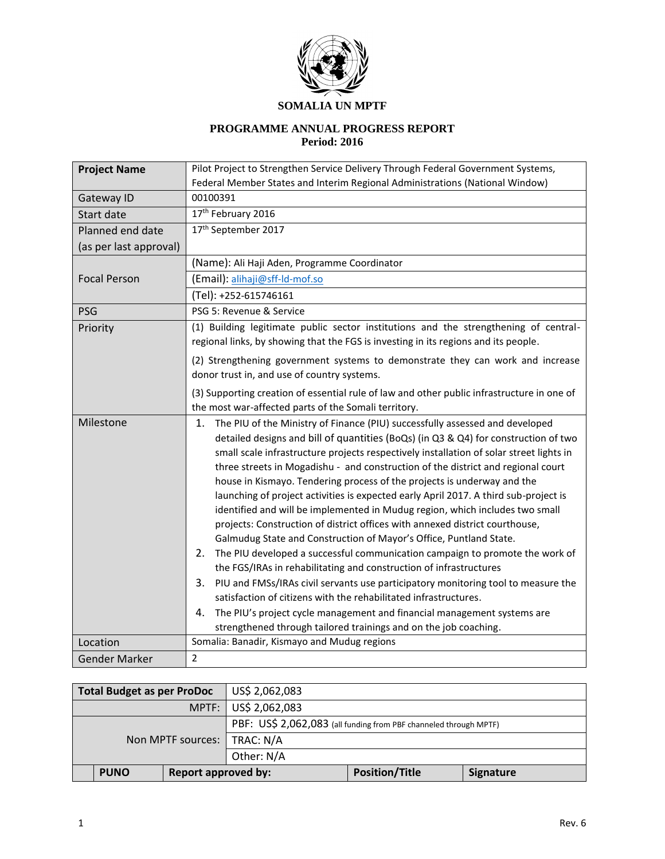

#### **SOMALIA UN MPTF**

## **PROGRAMME ANNUAL PROGRESS REPORT Period: 2016**

| <b>Project Name</b>    | Pilot Project to Strengthen Service Delivery Through Federal Government Systems,                                                                             |  |  |  |  |
|------------------------|--------------------------------------------------------------------------------------------------------------------------------------------------------------|--|--|--|--|
|                        | Federal Member States and Interim Regional Administrations (National Window)                                                                                 |  |  |  |  |
| Gateway ID             | 00100391                                                                                                                                                     |  |  |  |  |
| Start date             | 17th February 2016                                                                                                                                           |  |  |  |  |
| Planned end date       | 17th September 2017                                                                                                                                          |  |  |  |  |
| (as per last approval) |                                                                                                                                                              |  |  |  |  |
|                        | (Name): Ali Haji Aden, Programme Coordinator                                                                                                                 |  |  |  |  |
| <b>Focal Person</b>    | (Email): alihaji@sff-Id-mof.so                                                                                                                               |  |  |  |  |
|                        | (Tel): +252-615746161                                                                                                                                        |  |  |  |  |
| <b>PSG</b>             | PSG 5: Revenue & Service                                                                                                                                     |  |  |  |  |
| Priority               | (1) Building legitimate public sector institutions and the strengthening of central-                                                                         |  |  |  |  |
|                        | regional links, by showing that the FGS is investing in its regions and its people.                                                                          |  |  |  |  |
|                        | (2) Strengthening government systems to demonstrate they can work and increase                                                                               |  |  |  |  |
|                        | donor trust in, and use of country systems.                                                                                                                  |  |  |  |  |
|                        | (3) Supporting creation of essential rule of law and other public infrastructure in one of                                                                   |  |  |  |  |
|                        | the most war-affected parts of the Somali territory.                                                                                                         |  |  |  |  |
| Milestone              | The PIU of the Ministry of Finance (PIU) successfully assessed and developed<br>1.                                                                           |  |  |  |  |
|                        | detailed designs and bill of quantities (BoQs) (in Q3 & Q4) for construction of two                                                                          |  |  |  |  |
|                        | small scale infrastructure projects respectively installation of solar street lights in                                                                      |  |  |  |  |
|                        | three streets in Mogadishu - and construction of the district and regional court                                                                             |  |  |  |  |
|                        | house in Kismayo. Tendering process of the projects is underway and the                                                                                      |  |  |  |  |
|                        | launching of project activities is expected early April 2017. A third sub-project is                                                                         |  |  |  |  |
|                        | identified and will be implemented in Mudug region, which includes two small<br>projects: Construction of district offices with annexed district courthouse, |  |  |  |  |
|                        | Galmudug State and Construction of Mayor's Office, Puntland State.                                                                                           |  |  |  |  |
|                        | The PIU developed a successful communication campaign to promote the work of<br>2.                                                                           |  |  |  |  |
|                        | the FGS/IRAs in rehabilitating and construction of infrastructures                                                                                           |  |  |  |  |
|                        | 3.<br>PIU and FMSs/IRAs civil servants use participatory monitoring tool to measure the                                                                      |  |  |  |  |
|                        | satisfaction of citizens with the rehabilitated infrastructures.                                                                                             |  |  |  |  |
|                        | The PIU's project cycle management and financial management systems are<br>4.                                                                                |  |  |  |  |
|                        | strengthened through tailored trainings and on the job coaching.                                                                                             |  |  |  |  |
| Location               | Somalia: Banadir, Kismayo and Mudug regions                                                                                                                  |  |  |  |  |
| <b>Gender Marker</b>   | $\overline{2}$                                                                                                                                               |  |  |  |  |

| US\$ 2,062,083<br>Total Budget as per ProDoc |                                                                   |  |                  |  |  |
|----------------------------------------------|-------------------------------------------------------------------|--|------------------|--|--|
|                                              | MPTF:   US\$ 2,062,083                                            |  |                  |  |  |
|                                              | PBF: US\$ 2,062,083 (all funding from PBF channeled through MPTF) |  |                  |  |  |
| Non MPTF sources:                            | TRAC: N/A                                                         |  |                  |  |  |
|                                              | Other: N/A                                                        |  |                  |  |  |
| <b>PUNO</b>                                  | <b>Report approved by:</b>                                        |  | <b>Signature</b> |  |  |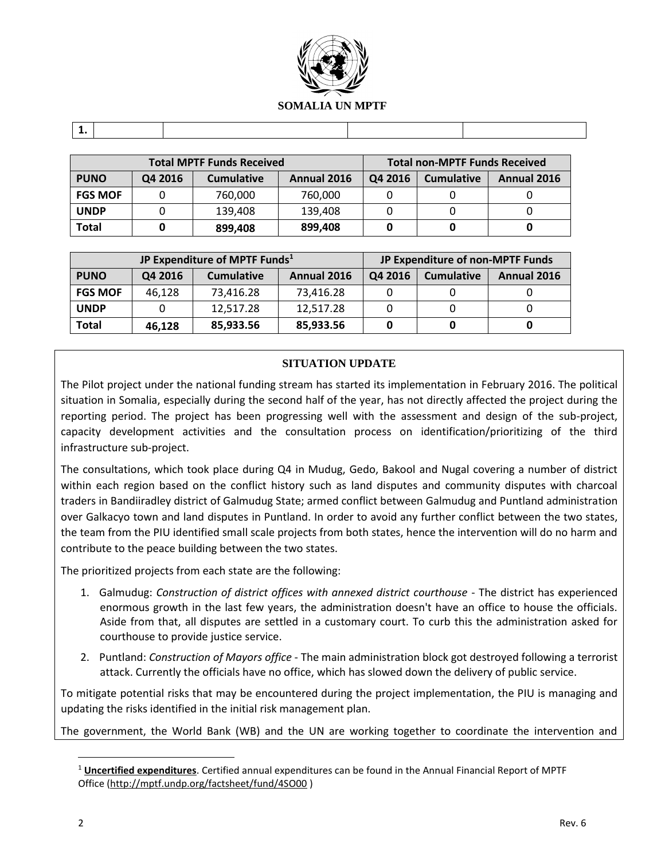

| <b>Total MPTF Funds Received</b> |         |                   |                    | <b>Total non-MPTF Funds Received</b> |                   |                    |
|----------------------------------|---------|-------------------|--------------------|--------------------------------------|-------------------|--------------------|
| <b>PUNO</b>                      | Q4 2016 | <b>Cumulative</b> | <b>Annual 2016</b> | Q4 2016                              | <b>Cumulative</b> | <b>Annual 2016</b> |
| <b>FGS MOF</b>                   |         | 760.000           | 760,000            |                                      |                   |                    |
| <b>UNDP</b>                      |         | 139.408           | 139,408            |                                      |                   |                    |
| Total                            |         | 899,408           | 899,408            |                                      |                   |                    |

|                |         | JP Expenditure of MPTF Funds <sup>1</sup> |             | JP Expenditure of non-MPTF Funds |                   |             |
|----------------|---------|-------------------------------------------|-------------|----------------------------------|-------------------|-------------|
| <b>PUNO</b>    | Q4 2016 | <b>Cumulative</b>                         | Annual 2016 | Q4 2016                          | <b>Cumulative</b> | Annual 2016 |
| <b>FGS MOF</b> | 46,128  | 73,416.28                                 | 73,416.28   |                                  |                   |             |
| <b>UNDP</b>    |         | 12,517.28                                 | 12,517.28   |                                  |                   |             |
| <b>Total</b>   | 46,128  | 85,933.56                                 | 85,933.56   |                                  |                   |             |

## **SITUATION UPDATE**

The Pilot project under the national funding stream has started its implementation in February 2016. The political situation in Somalia, especially during the second half of the year, has not directly affected the project during the reporting period. The project has been progressing well with the assessment and design of the sub-project, capacity development activities and the consultation process on identification/prioritizing of the third infrastructure sub-project.

The consultations, which took place during Q4 in Mudug, Gedo, Bakool and Nugal covering a number of district within each region based on the conflict history such as land disputes and community disputes with charcoal traders in Bandiiradley district of Galmudug State; armed conflict between Galmudug and Puntland administration over Galkacyo town and land disputes in Puntland. In order to avoid any further conflict between the two states, the team from the PIU identified small scale projects from both states, hence the intervention will do no harm and contribute to the peace building between the two states.

The prioritized projects from each state are the following:

- 1. Galmudug: *Construction of district offices with annexed district courthouse* The district has experienced enormous growth in the last few years, the administration doesn't have an office to house the officials. Aside from that, all disputes are settled in a customary court. To curb this the administration asked for courthouse to provide justice service.
- 2. Puntland: *Construction of Mayors office* The main administration block got destroyed following a terrorist attack. Currently the officials have no office, which has slowed down the delivery of public service.

To mitigate potential risks that may be encountered during the project implementation, the PIU is managing and updating the risks identified in the initial risk management plan.

The government, the World Bank (WB) and the UN are working together to coordinate the intervention and

 $\overline{a}$ 

<sup>1</sup> **Uncertified expenditures**. Certified annual expenditures can be found in the Annual Financial Report of MPTF Office [\(http://mptf.undp.org/factsheet/fund/4SO00](http://mptf.undp.org/factsheet/fund/4SO00) )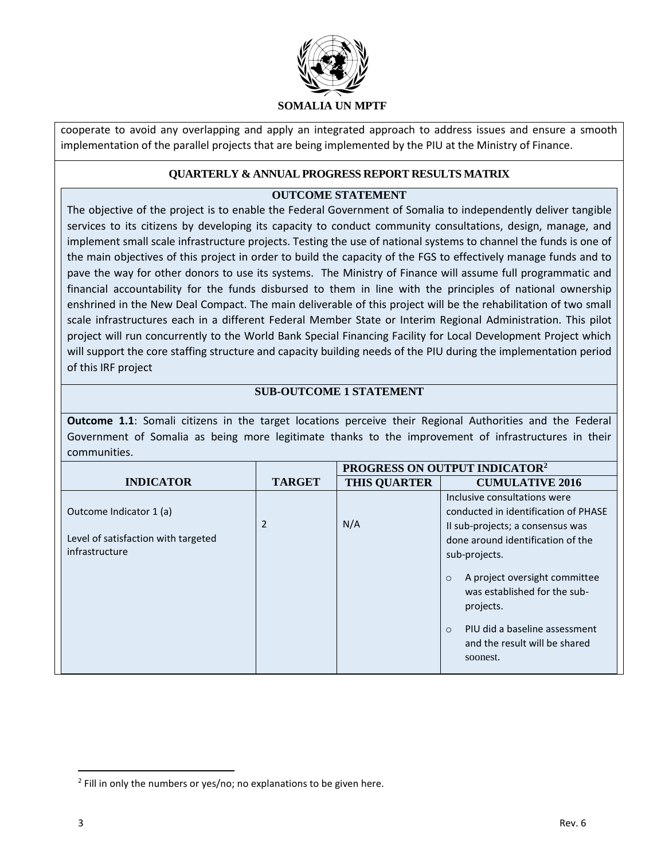

cooperate to avoid any overlapping and apply an integrated approach to address issues and ensure a smooth implementation of the parallel projects that are being implemented by the PIU at the Ministry of Finance.

### **QUARTERLY & ANNUAL PROGRESS REPORT RESULTS MATRIX**

## **OUTCOME STATEMENT**

The objective of the project is to enable the Federal Government of Somalia to independently deliver tangible services to its citizens by developing its capacity to conduct community consultations, design, manage, and implement small scale infrastructure projects. Testing the use of national systems to channel the funds is one of the main objectives of this project in order to build the capacity of the FGS to effectively manage funds and to pave the way for other donors to use its systems. The Ministry of Finance will assume full programmatic and financial accountability for the funds disbursed to them in line with the principles of national ownership enshrined in the New Deal Compact. The main deliverable of this project will be the rehabilitation of two small scale infrastructures each in a different Federal Member State or Interim Regional Administration. This pilot project will run concurrently to the World Bank Special Financing Facility for Local Development Project which will support the core staffing structure and capacity building needs of the PIU during the implementation period of this IRF project

## **SUB-OUTCOME 1 STATEMENT**

**Outcome 1.1**: Somali citizens in the target locations perceive their Regional Authorities and the Federal Government of Somalia as being more legitimate thanks to the improvement of infrastructures in their communities.

|                                                                                  |                |                     | PROGRESS ON OUTPUT INDICATOR <sup>2</sup>                                                                                                                                                                                                               |
|----------------------------------------------------------------------------------|----------------|---------------------|---------------------------------------------------------------------------------------------------------------------------------------------------------------------------------------------------------------------------------------------------------|
| <b>INDICATOR</b>                                                                 | <b>TARGET</b>  | <b>THIS QUARTER</b> | <b>CUMULATIVE 2016</b>                                                                                                                                                                                                                                  |
| Outcome Indicator 1 (a)<br>Level of satisfaction with targeted<br>infrastructure | $\overline{2}$ | N/A                 | Inclusive consultations were<br>conducted in identification of PHASE<br>Il sub-projects; a consensus was<br>done around identification of the<br>sub-projects.<br>A project oversight committee<br>$\circ$<br>was established for the sub-<br>projects. |
|                                                                                  |                |                     | PIU did a baseline assessment<br>$\circ$<br>and the result will be shared<br>soonest.                                                                                                                                                                   |

 $\overline{\phantom{a}}$ 

 $2$  Fill in only the numbers or yes/no; no explanations to be given here.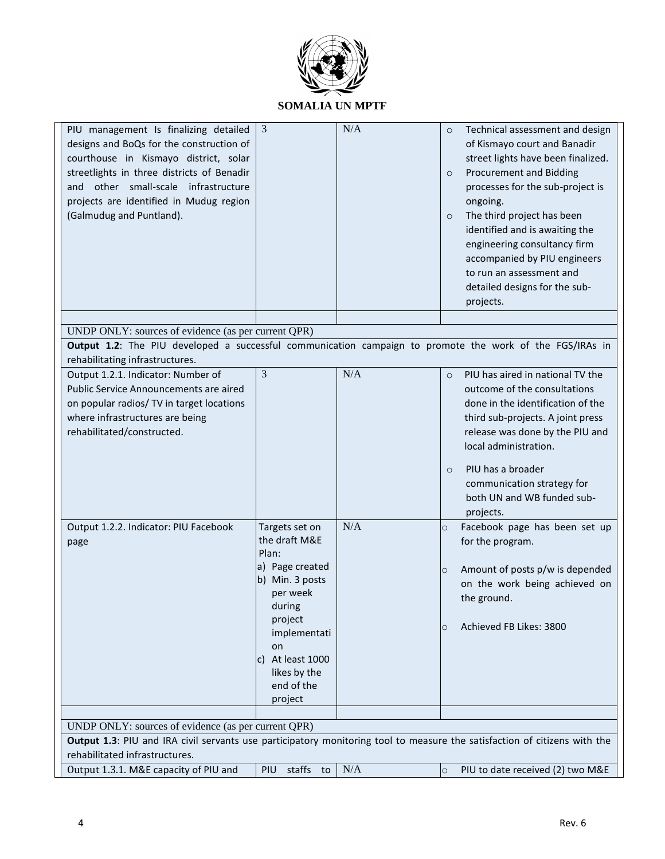

| PIU management Is finalizing detailed<br>designs and BoQs for the construction of<br>courthouse in Kismayo district, solar<br>streetlights in three districts of Benadir<br>and other small-scale infrastructure<br>projects are identified in Mudug region<br>(Galmudug and Puntland). | 3                                                                                                                                                                                                  | N/A | Technical assessment and design<br>$\circ$<br>of Kismayo court and Banadir<br>street lights have been finalized.<br><b>Procurement and Bidding</b><br>$\circ$<br>processes for the sub-project is<br>ongoing.<br>The third project has been<br>$\circ$<br>identified and is awaiting the<br>engineering consultancy firm<br>accompanied by PIU engineers<br>to run an assessment and<br>detailed designs for the sub-<br>projects. |  |  |
|-----------------------------------------------------------------------------------------------------------------------------------------------------------------------------------------------------------------------------------------------------------------------------------------|----------------------------------------------------------------------------------------------------------------------------------------------------------------------------------------------------|-----|------------------------------------------------------------------------------------------------------------------------------------------------------------------------------------------------------------------------------------------------------------------------------------------------------------------------------------------------------------------------------------------------------------------------------------|--|--|
| UNDP ONLY: sources of evidence (as per current QPR)                                                                                                                                                                                                                                     |                                                                                                                                                                                                    |     |                                                                                                                                                                                                                                                                                                                                                                                                                                    |  |  |
| Output 1.2: The PIU developed a successful communication campaign to promote the work of the FGS/IRAs in                                                                                                                                                                                |                                                                                                                                                                                                    |     |                                                                                                                                                                                                                                                                                                                                                                                                                                    |  |  |
| rehabilitating infrastructures.<br>Output 1.2.1. Indicator: Number of<br>Public Service Announcements are aired<br>on popular radios/ TV in target locations<br>where infrastructures are being<br>rehabilitated/constructed.                                                           | 3                                                                                                                                                                                                  | N/A | PIU has aired in national TV the<br>$\circ$<br>outcome of the consultations<br>done in the identification of the<br>third sub-projects. A joint press<br>release was done by the PIU and<br>local administration.<br>PIU has a broader<br>$\circ$<br>communication strategy for<br>both UN and WB funded sub-                                                                                                                      |  |  |
|                                                                                                                                                                                                                                                                                         |                                                                                                                                                                                                    |     | projects.                                                                                                                                                                                                                                                                                                                                                                                                                          |  |  |
| Output 1.2.2. Indicator: PIU Facebook<br>page                                                                                                                                                                                                                                           | Targets set on<br>the draft M&E<br>Plan:<br>a) Page created<br>b) Min. 3 posts<br>per week<br>during<br>project<br>implementati<br>on<br>c) At least 1000<br>likes by the<br>end of the<br>project | N/A | Facebook page has been set up<br>$\circ$<br>for the program.<br>Amount of posts p/w is depended<br>$\circ$<br>on the work being achieved on<br>the ground.<br>Achieved FB Likes: 3800<br>$\circ$                                                                                                                                                                                                                                   |  |  |
|                                                                                                                                                                                                                                                                                         |                                                                                                                                                                                                    |     |                                                                                                                                                                                                                                                                                                                                                                                                                                    |  |  |
| UNDP ONLY: sources of evidence (as per current QPR)<br>Output 1.3: PIU and IRA civil servants use participatory monitoring tool to measure the satisfaction of citizens with the                                                                                                        |                                                                                                                                                                                                    |     |                                                                                                                                                                                                                                                                                                                                                                                                                                    |  |  |
| rehabilitated infrastructures.                                                                                                                                                                                                                                                          |                                                                                                                                                                                                    |     |                                                                                                                                                                                                                                                                                                                                                                                                                                    |  |  |
| Output 1.3.1. M&E capacity of PIU and                                                                                                                                                                                                                                                   | staffs to<br><b>PIU</b>                                                                                                                                                                            | N/A | PIU to date received (2) two M&E<br>$\circ$                                                                                                                                                                                                                                                                                                                                                                                        |  |  |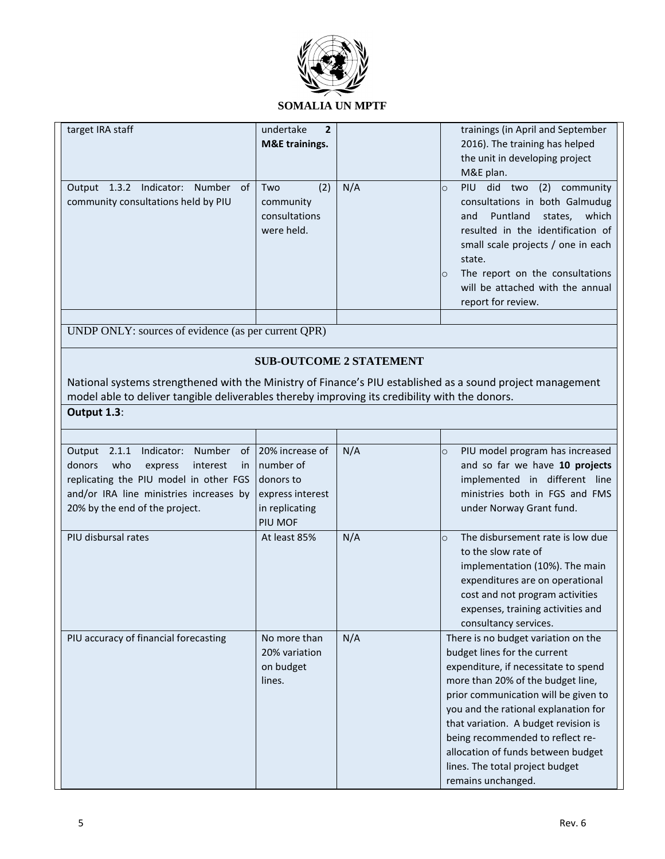

# **SOMALIA UN MPTF**

| target IRA staff                                                                                                                                                                                                       | undertake<br>$\mathbf{2}$<br><b>M&amp;E</b> trainings.                                     |                                | trainings (in April and September<br>2016). The training has helped<br>the unit in developing project<br>M&E plan.                                                                                                                                                                                                                                                                                          |
|------------------------------------------------------------------------------------------------------------------------------------------------------------------------------------------------------------------------|--------------------------------------------------------------------------------------------|--------------------------------|-------------------------------------------------------------------------------------------------------------------------------------------------------------------------------------------------------------------------------------------------------------------------------------------------------------------------------------------------------------------------------------------------------------|
| Output 1.3.2 Indicator: Number of<br>community consultations held by PIU                                                                                                                                               | Two<br>(2)<br>community<br>consultations<br>were held.                                     | N/A                            | PIU did two<br>(2) community<br>$\circ$<br>consultations in both Galmudug<br>Puntland<br>states, which<br>and<br>resulted in the identification of<br>small scale projects / one in each<br>state.<br>The report on the consultations<br>$\circ$<br>will be attached with the annual<br>report for review.                                                                                                  |
| UNDP ONLY: sources of evidence (as per current QPR)                                                                                                                                                                    |                                                                                            |                                |                                                                                                                                                                                                                                                                                                                                                                                                             |
|                                                                                                                                                                                                                        |                                                                                            |                                |                                                                                                                                                                                                                                                                                                                                                                                                             |
|                                                                                                                                                                                                                        |                                                                                            | <b>SUB-OUTCOME 2 STATEMENT</b> |                                                                                                                                                                                                                                                                                                                                                                                                             |
| National systems strengthened with the Ministry of Finance's PIU established as a sound project management<br>model able to deliver tangible deliverables thereby improving its credibility with the donors.           |                                                                                            |                                |                                                                                                                                                                                                                                                                                                                                                                                                             |
| Output 1.3:                                                                                                                                                                                                            |                                                                                            |                                |                                                                                                                                                                                                                                                                                                                                                                                                             |
|                                                                                                                                                                                                                        |                                                                                            |                                |                                                                                                                                                                                                                                                                                                                                                                                                             |
| Indicator: Number<br>of<br>2.1.1<br>Output<br>who<br>donors<br>express<br>interest<br><i>in</i><br>replicating the PIU model in other FGS<br>and/or IRA line ministries increases by<br>20% by the end of the project. | 20% increase of<br>number of<br>donors to<br>express interest<br>in replicating<br>PIU MOF | N/A                            | PIU model program has increased<br>$\circ$<br>and so far we have 10 projects<br>implemented in different line<br>ministries both in FGS and FMS<br>under Norway Grant fund.                                                                                                                                                                                                                                 |
| PIU disbursal rates                                                                                                                                                                                                    | At least 85%                                                                               | N/A                            | The disbursement rate is low due<br>$\circ$<br>to the slow rate of<br>implementation (10%). The main<br>expenditures are on operational<br>cost and not program activities<br>expenses, training activities and<br>consultancy services.                                                                                                                                                                    |
| PIU accuracy of financial forecasting                                                                                                                                                                                  | No more than<br>20% variation<br>on budget<br>lines.                                       | N/A                            | There is no budget variation on the<br>budget lines for the current<br>expenditure, if necessitate to spend<br>more than 20% of the budget line,<br>prior communication will be given to<br>you and the rational explanation for<br>that variation. A budget revision is<br>being recommended to reflect re-<br>allocation of funds between budget<br>lines. The total project budget<br>remains unchanged. |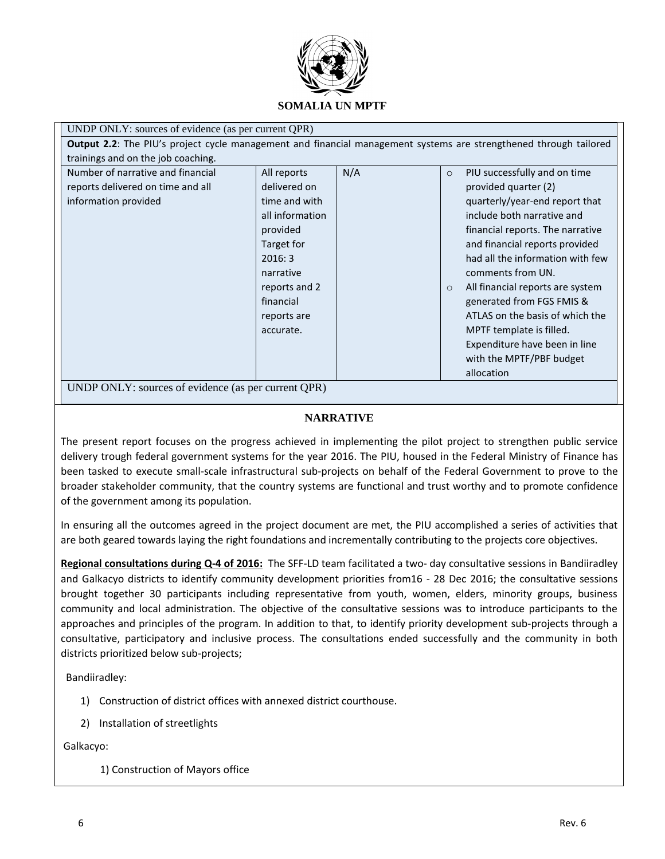

| UNDP ONLY: sources of evidence (as per current QPR)                                                                                                                                                                                                                                                                                                                                                                                                                                                                                                                                                                                                                                                                                                                         |  |  |  |  |  |  |
|-----------------------------------------------------------------------------------------------------------------------------------------------------------------------------------------------------------------------------------------------------------------------------------------------------------------------------------------------------------------------------------------------------------------------------------------------------------------------------------------------------------------------------------------------------------------------------------------------------------------------------------------------------------------------------------------------------------------------------------------------------------------------------|--|--|--|--|--|--|
| Output 2.2: The PIU's project cycle management and financial management systems are strengthened through tailored                                                                                                                                                                                                                                                                                                                                                                                                                                                                                                                                                                                                                                                           |  |  |  |  |  |  |
| trainings and on the job coaching.                                                                                                                                                                                                                                                                                                                                                                                                                                                                                                                                                                                                                                                                                                                                          |  |  |  |  |  |  |
| N/A<br>Number of narrative and financial<br>All reports<br>PIU successfully and on time<br>$\circ$<br>delivered on<br>provided quarter (2)<br>reports delivered on time and all<br>information provided<br>quarterly/year-end report that<br>time and with<br>all information<br>include both narrative and<br>financial reports. The narrative<br>provided<br>Target for<br>and financial reports provided<br>2016:3<br>had all the information with few<br>comments from UN.<br>narrative<br>reports and 2<br>All financial reports are system<br>$\circ$<br>financial<br>generated from FGS FMIS &<br>ATLAS on the basis of which the<br>reports are<br>MPTF template is filled.<br>accurate.<br>Expenditure have been in line<br>with the MPTF/PBF budget<br>allocation |  |  |  |  |  |  |
| UNDP ONLY: sources of evidence (as per current QPR)                                                                                                                                                                                                                                                                                                                                                                                                                                                                                                                                                                                                                                                                                                                         |  |  |  |  |  |  |

## **NARRATIVE**

The present report focuses on the progress achieved in implementing the pilot project to strengthen public service delivery trough federal government systems for the year 2016. The PIU, housed in the Federal Ministry of Finance has been tasked to execute small-scale infrastructural sub-projects on behalf of the Federal Government to prove to the broader stakeholder community, that the country systems are functional and trust worthy and to promote confidence of the government among its population.

In ensuring all the outcomes agreed in the project document are met, the PIU accomplished a series of activities that are both geared towards laying the right foundations and incrementally contributing to the projects core objectives.

**Regional consultations during Q-4 of 2016:** The SFF-LD team facilitated a two- day consultative sessions in Bandiiradley and Galkacyo districts to identify community development priorities from16 - 28 Dec 2016; the consultative sessions brought together 30 participants including representative from youth, women, elders, minority groups, business community and local administration. The objective of the consultative sessions was to introduce participants to the approaches and principles of the program. In addition to that, to identify priority development sub-projects through a consultative, participatory and inclusive process. The consultations ended successfully and the community in both districts prioritized below sub-projects;

Bandiiradley:

- 1) Construction of district offices with annexed district courthouse.
- 2) Installation of streetlights

Galkacyo:

1) Construction of Mayors office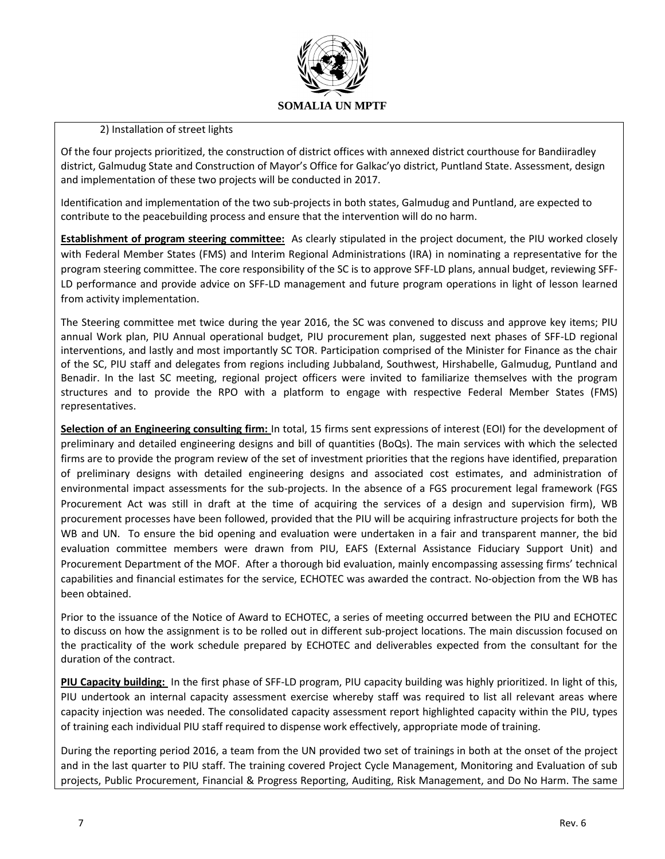

#### 2) Installation of street lights

Of the four projects prioritized, the construction of district offices with annexed district courthouse for Bandiiradley district, Galmudug State and Construction of Mayor's Office for Galkac'yo district, Puntland State. Assessment, design and implementation of these two projects will be conducted in 2017.

Identification and implementation of the two sub-projects in both states, Galmudug and Puntland, are expected to contribute to the peacebuilding process and ensure that the intervention will do no harm.

**Establishment of program steering committee:** As clearly stipulated in the project document, the PIU worked closely with Federal Member States (FMS) and Interim Regional Administrations (IRA) in nominating a representative for the program steering committee. The core responsibility of the SC is to approve SFF-LD plans, annual budget, reviewing SFF-LD performance and provide advice on SFF-LD management and future program operations in light of lesson learned from activity implementation.

The Steering committee met twice during the year 2016, the SC was convened to discuss and approve key items; PIU annual Work plan, PIU Annual operational budget, PIU procurement plan, suggested next phases of SFF-LD regional interventions, and lastly and most importantly SC TOR. Participation comprised of the Minister for Finance as the chair of the SC, PIU staff and delegates from regions including Jubbaland, Southwest, Hirshabelle, Galmudug, Puntland and Benadir. In the last SC meeting, regional project officers were invited to familiarize themselves with the program structures and to provide the RPO with a platform to engage with respective Federal Member States (FMS) representatives.

**Selection of an Engineering consulting firm:** In total, 15 firms sent expressions of interest (EOI) for the development of preliminary and detailed engineering designs and bill of quantities (BoQs). The main services with which the selected firms are to provide the program review of the set of investment priorities that the regions have identified, preparation of preliminary designs with detailed engineering designs and associated cost estimates, and administration of environmental impact assessments for the sub-projects. In the absence of a FGS procurement legal framework (FGS Procurement Act was still in draft at the time of acquiring the services of a design and supervision firm), WB procurement processes have been followed, provided that the PIU will be acquiring infrastructure projects for both the WB and UN. To ensure the bid opening and evaluation were undertaken in a fair and transparent manner, the bid evaluation committee members were drawn from PIU, EAFS (External Assistance Fiduciary Support Unit) and Procurement Department of the MOF. After a thorough bid evaluation, mainly encompassing assessing firms' technical capabilities and financial estimates for the service, ECHOTEC was awarded the contract. No-objection from the WB has been obtained.

Prior to the issuance of the Notice of Award to ECHOTEC, a series of meeting occurred between the PIU and ECHOTEC to discuss on how the assignment is to be rolled out in different sub-project locations. The main discussion focused on the practicality of the work schedule prepared by ECHOTEC and deliverables expected from the consultant for the duration of the contract.

**PIU Capacity building:** In the first phase of SFF-LD program, PIU capacity building was highly prioritized. In light of this, PIU undertook an internal capacity assessment exercise whereby staff was required to list all relevant areas where capacity injection was needed. The consolidated capacity assessment report highlighted capacity within the PIU, types of training each individual PIU staff required to dispense work effectively, appropriate mode of training.

During the reporting period 2016, a team from the UN provided two set of trainings in both at the onset of the project and in the last quarter to PIU staff. The training covered Project Cycle Management, Monitoring and Evaluation of sub projects, Public Procurement, Financial & Progress Reporting, Auditing, Risk Management, and Do No Harm. The same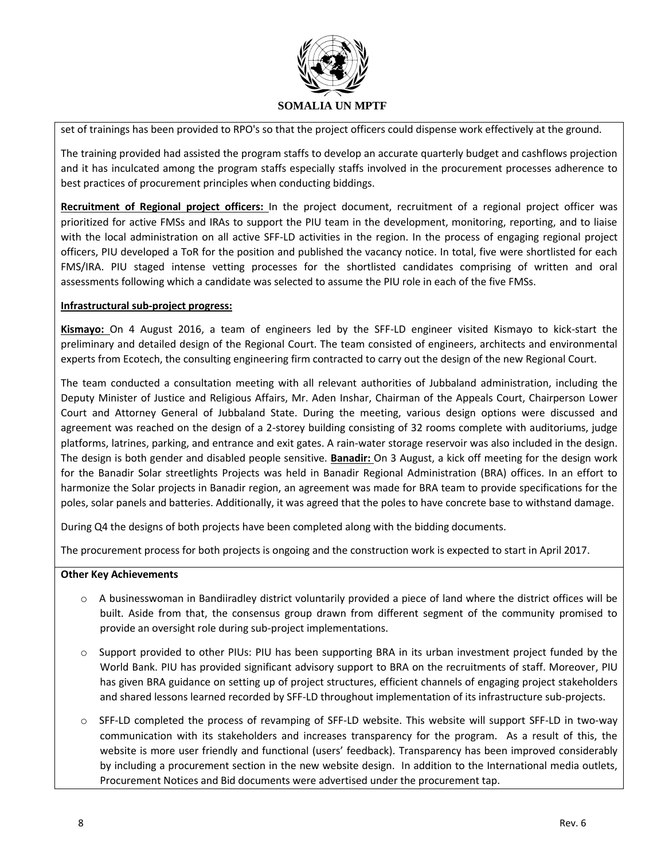

set of trainings has been provided to RPO's so that the project officers could dispense work effectively at the ground.

The training provided had assisted the program staffs to develop an accurate quarterly budget and cashflows projection and it has inculcated among the program staffs especially staffs involved in the procurement processes adherence to best practices of procurement principles when conducting biddings.

**Recruitment of Regional project officers:** In the project document, recruitment of a regional project officer was prioritized for active FMSs and IRAs to support the PIU team in the development, monitoring, reporting, and to liaise with the local administration on all active SFF-LD activities in the region. In the process of engaging regional project officers, PIU developed a ToR for the position and published the vacancy notice. In total, five were shortlisted for each FMS/IRA. PIU staged intense vetting processes for the shortlisted candidates comprising of written and oral assessments following which a candidate was selected to assume the PIU role in each of the five FMSs.

#### **Infrastructural sub-project progress:**

**Kismayo:** On 4 August 2016, a team of engineers led by the SFF-LD engineer visited Kismayo to kick-start the preliminary and detailed design of the Regional Court. The team consisted of engineers, architects and environmental experts from Ecotech, the consulting engineering firm contracted to carry out the design of the new Regional Court.

The team conducted a consultation meeting with all relevant authorities of Jubbaland administration, including the Deputy Minister of Justice and Religious Affairs, Mr. Aden Inshar, Chairman of the Appeals Court, Chairperson Lower Court and Attorney General of Jubbaland State. During the meeting, various design options were discussed and agreement was reached on the design of a 2-storey building consisting of 32 rooms complete with auditoriums, judge platforms, latrines, parking, and entrance and exit gates. A rain-water storage reservoir was also included in the design. The design is both gender and disabled people sensitive. **Banadir:** On 3 August, a kick off meeting for the design work for the Banadir Solar streetlights Projects was held in Banadir Regional Administration (BRA) offices. In an effort to harmonize the Solar projects in Banadir region, an agreement was made for BRA team to provide specifications for the poles, solar panels and batteries. Additionally, it was agreed that the poles to have concrete base to withstand damage.

During Q4 the designs of both projects have been completed along with the bidding documents.

The procurement process for both projects is ongoing and the construction work is expected to start in April 2017.

#### **Other Key Achievements**

- $\circ$  A businesswoman in Bandiiradley district voluntarily provided a piece of land where the district offices will be built. Aside from that, the consensus group drawn from different segment of the community promised to provide an oversight role during sub-project implementations.
- o Support provided to other PIUs: PIU has been supporting BRA in its urban investment project funded by the World Bank. PIU has provided significant advisory support to BRA on the recruitments of staff. Moreover, PIU has given BRA guidance on setting up of project structures, efficient channels of engaging project stakeholders and shared lessons learned recorded by SFF-LD throughout implementation of its infrastructure sub-projects.
- o SFF-LD completed the process of revamping of SFF-LD website. This website will support SFF-LD in two-way communication with its stakeholders and increases transparency for the program. As a result of this, the website is more user friendly and functional (users' feedback). Transparency has been improved considerably by including a procurement section in the new website design. In addition to the International media outlets, Procurement Notices and Bid documents were advertised under the procurement tap.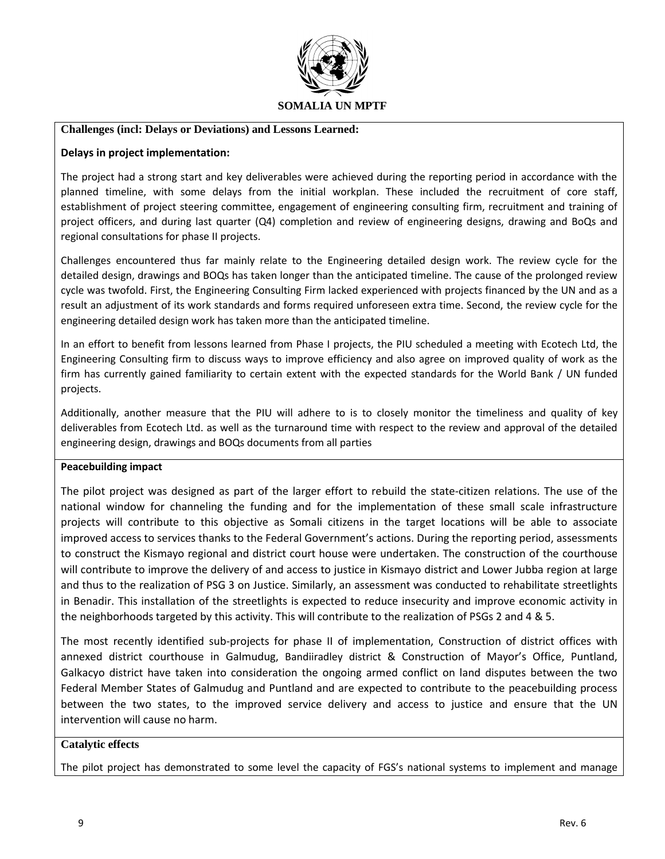

#### **Challenges (incl: Delays or Deviations) and Lessons Learned:**

#### **Delays in project implementation:**

The project had a strong start and key deliverables were achieved during the reporting period in accordance with the planned timeline, with some delays from the initial workplan. These included the recruitment of core staff, establishment of project steering committee, engagement of engineering consulting firm, recruitment and training of project officers, and during last quarter (Q4) completion and review of engineering designs, drawing and BoQs and regional consultations for phase II projects.

Challenges encountered thus far mainly relate to the Engineering detailed design work. The review cycle for the detailed design, drawings and BOQs has taken longer than the anticipated timeline. The cause of the prolonged review cycle was twofold. First, the Engineering Consulting Firm lacked experienced with projects financed by the UN and as a result an adjustment of its work standards and forms required unforeseen extra time. Second, the review cycle for the engineering detailed design work has taken more than the anticipated timeline.

In an effort to benefit from lessons learned from Phase I projects, the PIU scheduled a meeting with Ecotech Ltd, the Engineering Consulting firm to discuss ways to improve efficiency and also agree on improved quality of work as the firm has currently gained familiarity to certain extent with the expected standards for the World Bank / UN funded projects.

Additionally, another measure that the PIU will adhere to is to closely monitor the timeliness and quality of key deliverables from Ecotech Ltd. as well as the turnaround time with respect to the review and approval of the detailed engineering design, drawings and BOQs documents from all parties

#### **Peacebuilding impact**

The pilot project was designed as part of the larger effort to rebuild the state-citizen relations. The use of the national window for channeling the funding and for the implementation of these small scale infrastructure projects will contribute to this objective as Somali citizens in the target locations will be able to associate improved access to services thanks to the Federal Government's actions. During the reporting period, assessments to construct the Kismayo regional and district court house were undertaken. The construction of the courthouse will contribute to improve the delivery of and access to justice in Kismayo district and Lower Jubba region at large and thus to the realization of PSG 3 on Justice. Similarly, an assessment was conducted to rehabilitate streetlights in Benadir. This installation of the streetlights is expected to reduce insecurity and improve economic activity in the neighborhoods targeted by this activity. This will contribute to the realization of PSGs 2 and 4 & 5.

The most recently identified sub-projects for phase II of implementation, Construction of district offices with annexed district courthouse in Galmudug, Bandiiradley district & Construction of Mayor's Office, Puntland, Galkacyo district have taken into consideration the ongoing armed conflict on land disputes between the two Federal Member States of Galmudug and Puntland and are expected to contribute to the peacebuilding process between the two states, to the improved service delivery and access to justice and ensure that the UN intervention will cause no harm.

#### **Catalytic effects**

The pilot project has demonstrated to some level the capacity of FGS's national systems to implement and manage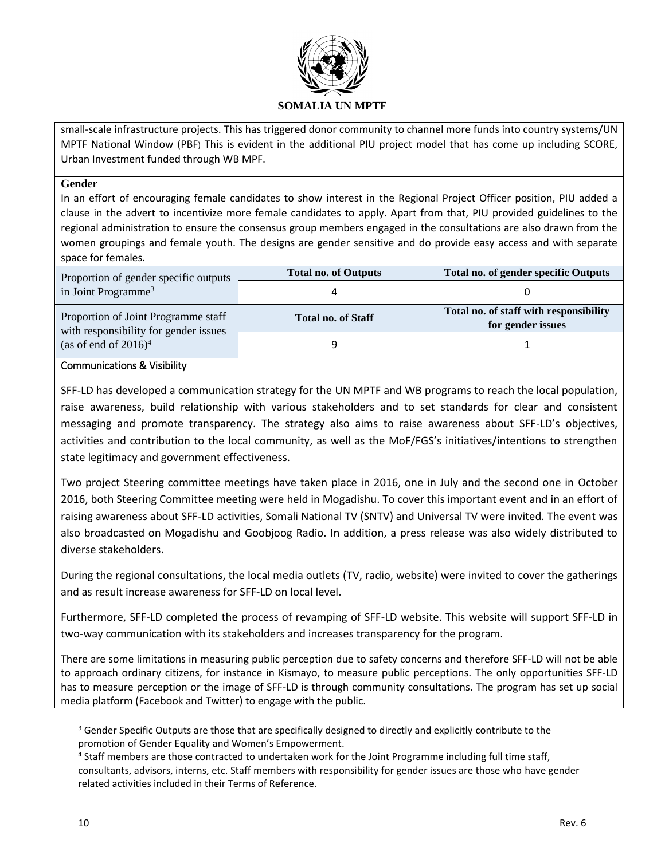

small-scale infrastructure projects. This has triggered donor community to channel more funds into country systems/UN MPTF National Window (PBF) This is evident in the additional PIU project model that has come up including SCORE, Urban Investment funded through WB MPF.

#### **Gender**

In an effort of encouraging female candidates to show interest in the Regional Project Officer position, PIU added a clause in the advert to incentivize more female candidates to apply. Apart from that, PIU provided guidelines to the regional administration to ensure the consensus group members engaged in the consultations are also drawn from the women groupings and female youth. The designs are gender sensitive and do provide easy access and with separate space for females.

| Proportion of gender specific outputs                                        | <b>Total no. of Outputs</b> | Total no. of gender specific Outputs                        |
|------------------------------------------------------------------------------|-----------------------------|-------------------------------------------------------------|
| in Joint Programme <sup>3</sup>                                              |                             |                                                             |
| Proportion of Joint Programme staff<br>with responsibility for gender issues | <b>Total no. of Staff</b>   | Total no. of staff with responsibility<br>for gender issues |
| (as of end of $2016$ <sup>4</sup>                                            |                             |                                                             |

#### Communications & Visibility

SFF-LD has developed a communication strategy for the UN MPTF and WB programs to reach the local population, raise awareness, build relationship with various stakeholders and to set standards for clear and consistent messaging and promote transparency. The strategy also aims to raise awareness about SFF-LD's objectives, activities and contribution to the local community, as well as the MoF/FGS's initiatives/intentions to strengthen state legitimacy and government effectiveness.

Two project Steering committee meetings have taken place in 2016, one in July and the second one in October 2016, both Steering Committee meeting were held in Mogadishu. To cover this important event and in an effort of raising awareness about SFF-LD activities, Somali National TV (SNTV) and Universal TV were invited. The event was also broadcasted on Mogadishu and Goobjoog Radio. In addition, a press release was also widely distributed to diverse stakeholders.

During the regional consultations, the local media outlets (TV, radio, website) were invited to cover the gatherings and as result increase awareness for SFF-LD on local level.

Furthermore, SFF-LD completed the process of revamping of SFF-LD website. This website will support SFF-LD in two-way communication with its stakeholders and increases transparency for the program.

There are some limitations in measuring public perception due to safety concerns and therefore SFF-LD will not be able to approach ordinary citizens, for instance in Kismayo, to measure public perceptions. The only opportunities SFF-LD has to measure perception or the image of SFF-LD is through community consultations. The program has set up social media platform (Facebook and Twitter) to engage with the public.

 $\overline{\phantom{a}}$ 

<sup>&</sup>lt;sup>3</sup> Gender Specific Outputs are those that are specifically designed to directly and explicitly contribute to the promotion of Gender Equality and Women's Empowerment.

<sup>&</sup>lt;sup>4</sup> Staff members are those contracted to undertaken work for the Joint Programme including full time staff, consultants, advisors, interns, etc. Staff members with responsibility for gender issues are those who have gender related activities included in their Terms of Reference.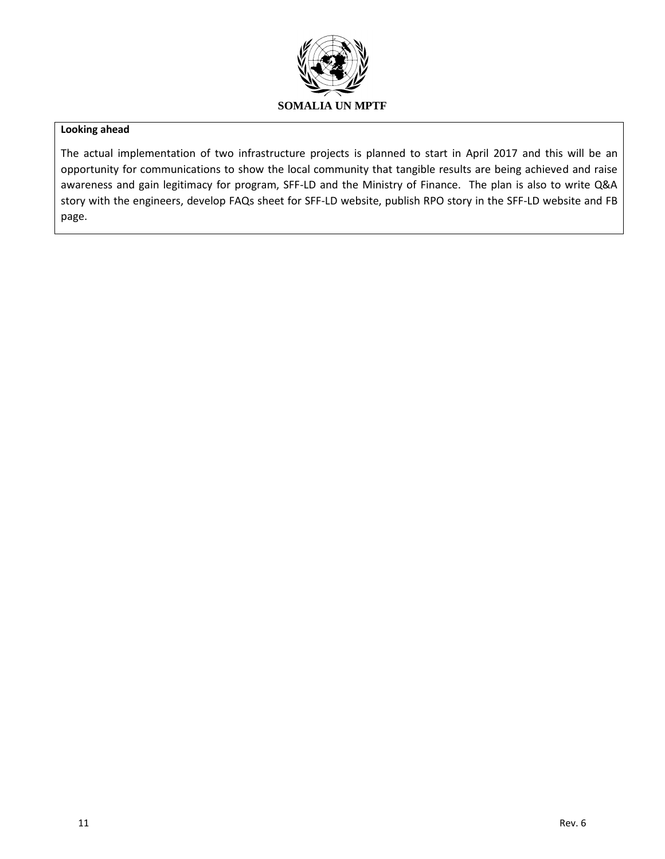

#### **Looking ahead**

The actual implementation of two infrastructure projects is planned to start in April 2017 and this will be an opportunity for communications to show the local community that tangible results are being achieved and raise awareness and gain legitimacy for program, SFF-LD and the Ministry of Finance. The plan is also to write Q&A story with the engineers, develop FAQs sheet for SFF-LD website, publish RPO story in the SFF-LD website and FB page.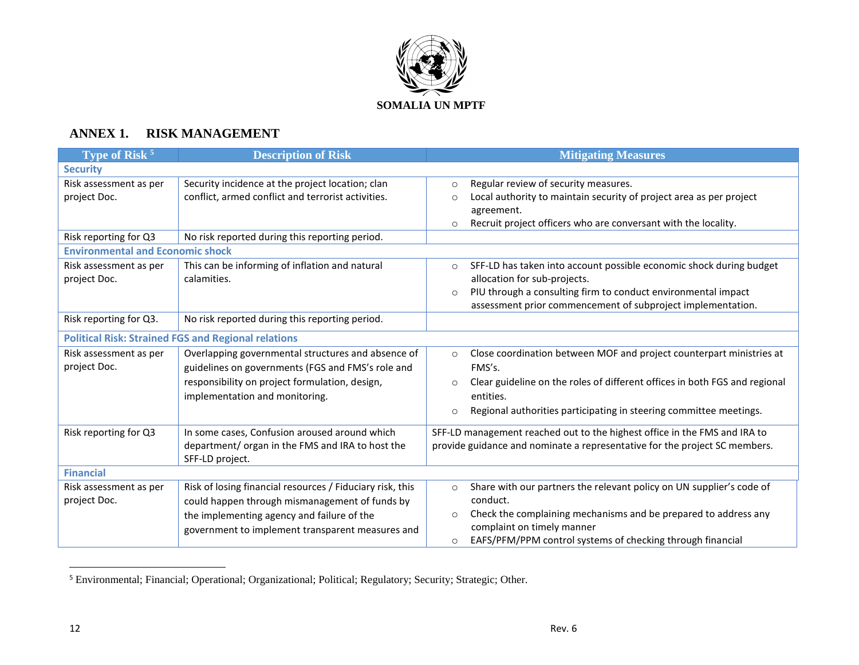

# **ANNEX 1. RISK MANAGEMENT**

| Type of Risk <sup>5</sup>               | <b>Description of Risk</b>                                                                                                                                                                                    | <b>Mitigating Measures</b>                                                                                                                                                                                                                                                       |
|-----------------------------------------|---------------------------------------------------------------------------------------------------------------------------------------------------------------------------------------------------------------|----------------------------------------------------------------------------------------------------------------------------------------------------------------------------------------------------------------------------------------------------------------------------------|
| <b>Security</b>                         |                                                                                                                                                                                                               |                                                                                                                                                                                                                                                                                  |
| Risk assessment as per<br>project Doc.  | Security incidence at the project location; clan<br>conflict, armed conflict and terrorist activities.                                                                                                        | Regular review of security measures.<br>$\circ$<br>Local authority to maintain security of project area as per project<br>$\circ$<br>agreement.<br>Recruit project officers who are conversant with the locality.<br>$\circ$                                                     |
| Risk reporting for Q3                   | No risk reported during this reporting period.                                                                                                                                                                |                                                                                                                                                                                                                                                                                  |
| <b>Environmental and Economic shock</b> |                                                                                                                                                                                                               |                                                                                                                                                                                                                                                                                  |
| Risk assessment as per<br>project Doc.  | This can be informing of inflation and natural<br>calamities.                                                                                                                                                 | SFF-LD has taken into account possible economic shock during budget<br>$\circ$<br>allocation for sub-projects.<br>PIU through a consulting firm to conduct environmental impact<br>$\Omega$<br>assessment prior commencement of subproject implementation.                       |
| Risk reporting for Q3.                  | No risk reported during this reporting period.                                                                                                                                                                |                                                                                                                                                                                                                                                                                  |
|                                         | <b>Political Risk: Strained FGS and Regional relations</b>                                                                                                                                                    |                                                                                                                                                                                                                                                                                  |
| Risk assessment as per<br>project Doc.  | Overlapping governmental structures and absence of<br>guidelines on governments (FGS and FMS's role and<br>responsibility on project formulation, design,<br>implementation and monitoring.                   | Close coordination between MOF and project counterpart ministries at<br>$\circ$<br>FMS's.<br>Clear guideline on the roles of different offices in both FGS and regional<br>$\circ$<br>entities.<br>Regional authorities participating in steering committee meetings.<br>$\circ$ |
| Risk reporting for Q3                   | In some cases, Confusion aroused around which<br>department/ organ in the FMS and IRA to host the<br>SFF-LD project.                                                                                          | SFF-LD management reached out to the highest office in the FMS and IRA to<br>provide guidance and nominate a representative for the project SC members.                                                                                                                          |
| <b>Financial</b>                        |                                                                                                                                                                                                               |                                                                                                                                                                                                                                                                                  |
| Risk assessment as per<br>project Doc.  | Risk of losing financial resources / Fiduciary risk, this<br>could happen through mismanagement of funds by<br>the implementing agency and failure of the<br>government to implement transparent measures and | Share with our partners the relevant policy on UN supplier's code of<br>$\circ$<br>conduct.<br>Check the complaining mechanisms and be prepared to address any<br>$\circ$<br>complaint on timely manner<br>EAFS/PFM/PPM control systems of checking through financial<br>$\circ$ |

<sup>5</sup> Environmental; Financial; Operational; Organizational; Political; Regulatory; Security; Strategic; Other.

 $\overline{a}$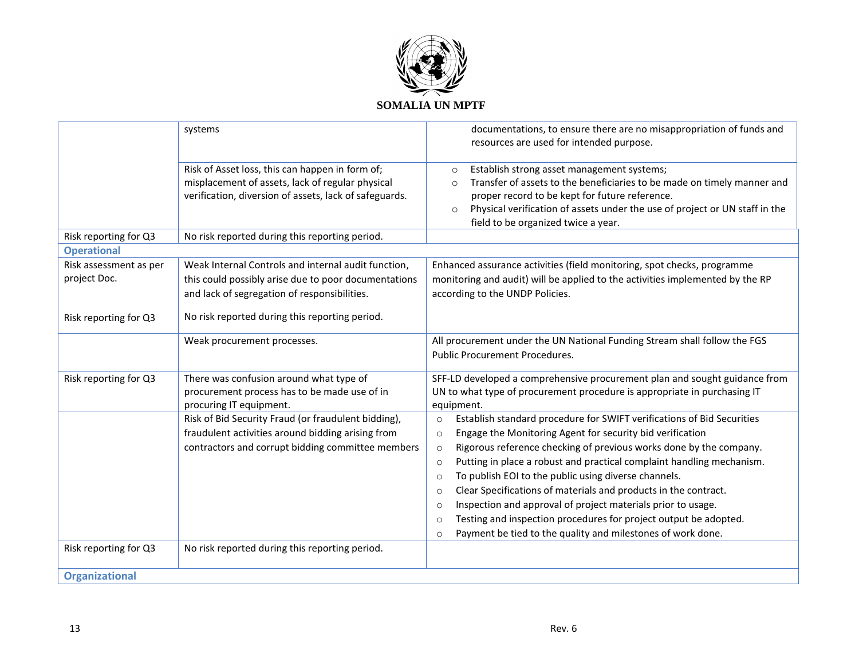

|                        | systems                                                                                                                                                       | documentations, to ensure there are no misappropriation of funds and                                                                                                                                                                                                                                                           |
|------------------------|---------------------------------------------------------------------------------------------------------------------------------------------------------------|--------------------------------------------------------------------------------------------------------------------------------------------------------------------------------------------------------------------------------------------------------------------------------------------------------------------------------|
|                        |                                                                                                                                                               | resources are used for intended purpose.                                                                                                                                                                                                                                                                                       |
|                        | Risk of Asset loss, this can happen in form of;<br>misplacement of assets, lack of regular physical<br>verification, diversion of assets, lack of safeguards. | Establish strong asset management systems;<br>$\circ$<br>Transfer of assets to the beneficiaries to be made on timely manner and<br>$\circ$<br>proper record to be kept for future reference.<br>Physical verification of assets under the use of project or UN staff in the<br>$\circ$<br>field to be organized twice a year. |
| Risk reporting for Q3  | No risk reported during this reporting period.                                                                                                                |                                                                                                                                                                                                                                                                                                                                |
| <b>Operational</b>     |                                                                                                                                                               |                                                                                                                                                                                                                                                                                                                                |
| Risk assessment as per | Weak Internal Controls and internal audit function,                                                                                                           | Enhanced assurance activities (field monitoring, spot checks, programme                                                                                                                                                                                                                                                        |
| project Doc.           | this could possibly arise due to poor documentations<br>and lack of segregation of responsibilities.                                                          | monitoring and audit) will be applied to the activities implemented by the RP<br>according to the UNDP Policies.                                                                                                                                                                                                               |
| Risk reporting for Q3  | No risk reported during this reporting period.                                                                                                                |                                                                                                                                                                                                                                                                                                                                |
|                        | Weak procurement processes.                                                                                                                                   | All procurement under the UN National Funding Stream shall follow the FGS<br><b>Public Procurement Procedures.</b>                                                                                                                                                                                                             |
| Risk reporting for Q3  | There was confusion around what type of<br>procurement process has to be made use of in                                                                       | SFF-LD developed a comprehensive procurement plan and sought guidance from<br>UN to what type of procurement procedure is appropriate in purchasing IT                                                                                                                                                                         |
|                        | procuring IT equipment.                                                                                                                                       | equipment.                                                                                                                                                                                                                                                                                                                     |
|                        | Risk of Bid Security Fraud (or fraudulent bidding),<br>fraudulent activities around bidding arising from                                                      | Establish standard procedure for SWIFT verifications of Bid Securities<br>$\circ$                                                                                                                                                                                                                                              |
|                        | contractors and corrupt bidding committee members                                                                                                             | Engage the Monitoring Agent for security bid verification<br>$\circ$<br>Rigorous reference checking of previous works done by the company.<br>$\circ$                                                                                                                                                                          |
|                        |                                                                                                                                                               | Putting in place a robust and practical complaint handling mechanism.<br>$\circ$                                                                                                                                                                                                                                               |
|                        |                                                                                                                                                               | To publish EOI to the public using diverse channels.<br>$\circ$                                                                                                                                                                                                                                                                |
|                        |                                                                                                                                                               | Clear Specifications of materials and products in the contract.<br>$\circ$                                                                                                                                                                                                                                                     |
|                        |                                                                                                                                                               | Inspection and approval of project materials prior to usage.<br>$\circ$                                                                                                                                                                                                                                                        |
|                        |                                                                                                                                                               | Testing and inspection procedures for project output be adopted.<br>$\circ$                                                                                                                                                                                                                                                    |
|                        |                                                                                                                                                               | Payment be tied to the quality and milestones of work done.<br>$\circ$                                                                                                                                                                                                                                                         |
| Risk reporting for Q3  | No risk reported during this reporting period.                                                                                                                |                                                                                                                                                                                                                                                                                                                                |
| <b>Organizational</b>  |                                                                                                                                                               |                                                                                                                                                                                                                                                                                                                                |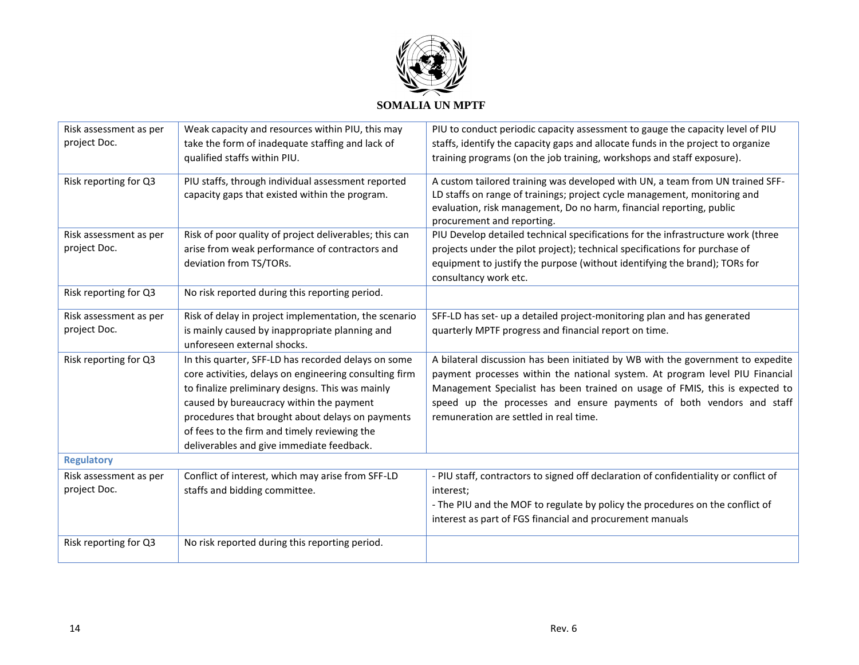

| Risk assessment as per | Weak capacity and resources within PIU, this may                                                     | PIU to conduct periodic capacity assessment to gauge the capacity level of PIU                                                                             |
|------------------------|------------------------------------------------------------------------------------------------------|------------------------------------------------------------------------------------------------------------------------------------------------------------|
| project Doc.           | take the form of inadequate staffing and lack of                                                     | staffs, identify the capacity gaps and allocate funds in the project to organize                                                                           |
|                        | qualified staffs within PIU.                                                                         | training programs (on the job training, workshops and staff exposure).                                                                                     |
| Risk reporting for Q3  | PIU staffs, through individual assessment reported<br>capacity gaps that existed within the program. | A custom tailored training was developed with UN, a team from UN trained SFF-<br>LD staffs on range of trainings; project cycle management, monitoring and |
|                        |                                                                                                      | evaluation, risk management, Do no harm, financial reporting, public                                                                                       |
|                        |                                                                                                      | procurement and reporting.                                                                                                                                 |
| Risk assessment as per | Risk of poor quality of project deliverables; this can                                               | PIU Develop detailed technical specifications for the infrastructure work (three                                                                           |
| project Doc.           | arise from weak performance of contractors and                                                       | projects under the pilot project); technical specifications for purchase of                                                                                |
|                        | deviation from TS/TORs.                                                                              | equipment to justify the purpose (without identifying the brand); TORs for                                                                                 |
|                        |                                                                                                      | consultancy work etc.                                                                                                                                      |
| Risk reporting for Q3  | No risk reported during this reporting period.                                                       |                                                                                                                                                            |
| Risk assessment as per | Risk of delay in project implementation, the scenario                                                | SFF-LD has set- up a detailed project-monitoring plan and has generated                                                                                    |
| project Doc.           | is mainly caused by inappropriate planning and                                                       | quarterly MPTF progress and financial report on time.                                                                                                      |
|                        | unforeseen external shocks.                                                                          |                                                                                                                                                            |
| Risk reporting for Q3  | In this quarter, SFF-LD has recorded delays on some                                                  | A bilateral discussion has been initiated by WB with the government to expedite                                                                            |
|                        | core activities, delays on engineering consulting firm                                               | payment processes within the national system. At program level PIU Financial                                                                               |
|                        | to finalize preliminary designs. This was mainly                                                     | Management Specialist has been trained on usage of FMIS, this is expected to                                                                               |
|                        | caused by bureaucracy within the payment                                                             | speed up the processes and ensure payments of both vendors and staff                                                                                       |
|                        | procedures that brought about delays on payments                                                     | remuneration are settled in real time.                                                                                                                     |
|                        | of fees to the firm and timely reviewing the                                                         |                                                                                                                                                            |
|                        | deliverables and give immediate feedback.                                                            |                                                                                                                                                            |
| <b>Regulatory</b>      |                                                                                                      |                                                                                                                                                            |
| Risk assessment as per | Conflict of interest, which may arise from SFF-LD                                                    | - PIU staff, contractors to signed off declaration of confidentiality or conflict of                                                                       |
| project Doc.           | staffs and bidding committee.                                                                        | interest:                                                                                                                                                  |
|                        |                                                                                                      | - The PIU and the MOF to regulate by policy the procedures on the conflict of                                                                              |
|                        |                                                                                                      | interest as part of FGS financial and procurement manuals                                                                                                  |
| Risk reporting for Q3  | No risk reported during this reporting period.                                                       |                                                                                                                                                            |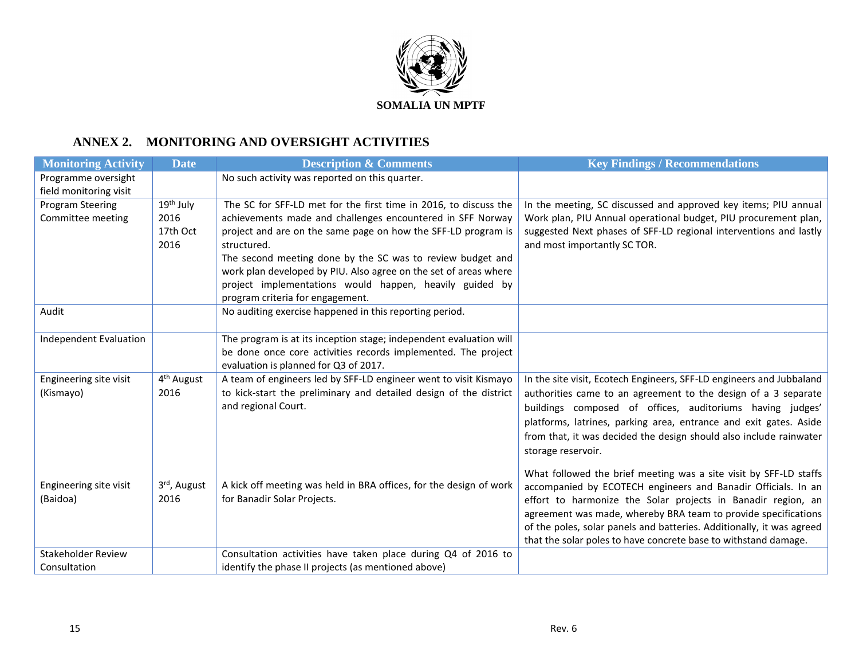

# **ANNEX 2. MONITORING AND OVERSIGHT ACTIVITIES**

| <b>Monitoring Activity</b>         | <b>Date</b>            | <b>Description &amp; Comments</b>                                                                 | <b>Key Findings / Recommendations</b>                                                                                                   |
|------------------------------------|------------------------|---------------------------------------------------------------------------------------------------|-----------------------------------------------------------------------------------------------------------------------------------------|
| Programme oversight                |                        | No such activity was reported on this quarter.                                                    |                                                                                                                                         |
| field monitoring visit             |                        |                                                                                                   |                                                                                                                                         |
| Program Steering                   | 19 <sup>th</sup> July  | The SC for SFF-LD met for the first time in 2016, to discuss the                                  | In the meeting, SC discussed and approved key items; PIU annual                                                                         |
| Committee meeting                  | 2016                   | achievements made and challenges encountered in SFF Norway                                        | Work plan, PIU Annual operational budget, PIU procurement plan,                                                                         |
|                                    | 17th Oct               | project and are on the same page on how the SFF-LD program is                                     | suggested Next phases of SFF-LD regional interventions and lastly                                                                       |
|                                    | 2016                   | structured.                                                                                       | and most importantly SC TOR.                                                                                                            |
|                                    |                        | The second meeting done by the SC was to review budget and                                        |                                                                                                                                         |
|                                    |                        | work plan developed by PIU. Also agree on the set of areas where                                  |                                                                                                                                         |
|                                    |                        | project implementations would happen, heavily guided by                                           |                                                                                                                                         |
|                                    |                        | program criteria for engagement.                                                                  |                                                                                                                                         |
| Audit                              |                        | No auditing exercise happened in this reporting period.                                           |                                                                                                                                         |
| <b>Independent Evaluation</b>      |                        | The program is at its inception stage; independent evaluation will                                |                                                                                                                                         |
|                                    |                        | be done once core activities records implemented. The project                                     |                                                                                                                                         |
|                                    |                        | evaluation is planned for Q3 of 2017.                                                             |                                                                                                                                         |
| Engineering site visit             | 4 <sup>th</sup> August | A team of engineers led by SFF-LD engineer went to visit Kismayo                                  | In the site visit, Ecotech Engineers, SFF-LD engineers and Jubbaland                                                                    |
| (Kismayo)                          | 2016                   | to kick-start the preliminary and detailed design of the district                                 | authorities came to an agreement to the design of a 3 separate                                                                          |
|                                    |                        | and regional Court.                                                                               | buildings composed of offices, auditoriums having judges'                                                                               |
|                                    |                        |                                                                                                   | platforms, latrines, parking area, entrance and exit gates. Aside                                                                       |
|                                    |                        |                                                                                                   | from that, it was decided the design should also include rainwater                                                                      |
|                                    |                        |                                                                                                   | storage reservoir.                                                                                                                      |
|                                    |                        |                                                                                                   |                                                                                                                                         |
|                                    |                        |                                                                                                   | What followed the brief meeting was a site visit by SFF-LD staffs                                                                       |
| Engineering site visit<br>(Baidoa) | 3rd, August<br>2016    | A kick off meeting was held in BRA offices, for the design of work<br>for Banadir Solar Projects. | accompanied by ECOTECH engineers and Banadir Officials. In an                                                                           |
|                                    |                        |                                                                                                   | effort to harmonize the Solar projects in Banadir region, an                                                                            |
|                                    |                        |                                                                                                   | agreement was made, whereby BRA team to provide specifications<br>of the poles, solar panels and batteries. Additionally, it was agreed |
|                                    |                        |                                                                                                   | that the solar poles to have concrete base to withstand damage.                                                                         |
| <b>Stakeholder Review</b>          |                        | Consultation activities have taken place during Q4 of 2016 to                                     |                                                                                                                                         |
| Consultation                       |                        | identify the phase II projects (as mentioned above)                                               |                                                                                                                                         |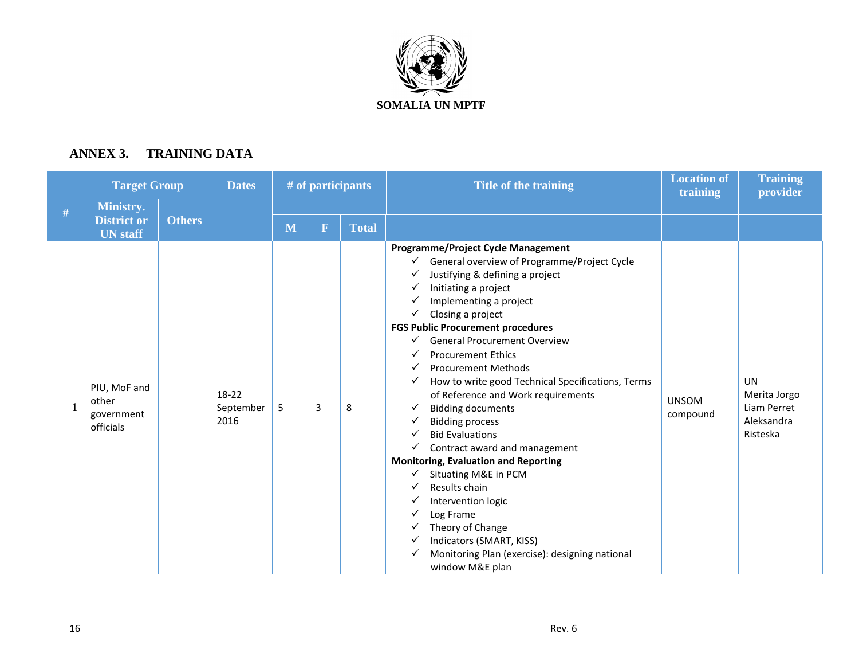

# **ANNEX 3. TRAINING DATA**

|   | <b>Target Group</b>                                       |               | <b>Dates</b>               | # of participants |             |       | Title of the training                                                                                                                                                                                                                                                                                                                                                                                                                                                                                                                                                                                                                                                                                                                                                                                                                                | <b>Location of</b><br>training | <b>Training</b><br>provider                                        |
|---|-----------------------------------------------------------|---------------|----------------------------|-------------------|-------------|-------|------------------------------------------------------------------------------------------------------------------------------------------------------------------------------------------------------------------------------------------------------------------------------------------------------------------------------------------------------------------------------------------------------------------------------------------------------------------------------------------------------------------------------------------------------------------------------------------------------------------------------------------------------------------------------------------------------------------------------------------------------------------------------------------------------------------------------------------------------|--------------------------------|--------------------------------------------------------------------|
| # | <b>Ministry.</b><br><b>District or</b><br><b>UN</b> staff | <b>Others</b> |                            | M                 | $\mathbf F$ | Total |                                                                                                                                                                                                                                                                                                                                                                                                                                                                                                                                                                                                                                                                                                                                                                                                                                                      |                                |                                                                    |
|   | PIU, MoF and<br>other<br>government<br>officials          |               | 18-22<br>September<br>2016 | 5                 | 3           | 8     | <b>Programme/Project Cycle Management</b><br>General overview of Programme/Project Cycle<br>Justifying & defining a project<br>Initiating a project<br>✓<br>Implementing a project<br>Closing a project<br>✓<br><b>FGS Public Procurement procedures</b><br><b>General Procurement Overview</b><br>✓<br><b>Procurement Ethics</b><br><b>Procurement Methods</b><br>✓<br>How to write good Technical Specifications, Terms<br>✓<br>of Reference and Work requirements<br><b>Bidding documents</b><br>✓<br><b>Bidding process</b><br>✓<br><b>Bid Evaluations</b><br>Contract award and management<br>✓<br><b>Monitoring, Evaluation and Reporting</b><br>Situating M&E in PCM<br>Results chain<br>Intervention logic<br>Log Frame<br>Theory of Change<br>Indicators (SMART, KISS)<br>Monitoring Plan (exercise): designing national<br>window M&E plan | <b>UNSOM</b><br>compound       | <b>UN</b><br>Merita Jorgo<br>Liam Perret<br>Aleksandra<br>Risteska |